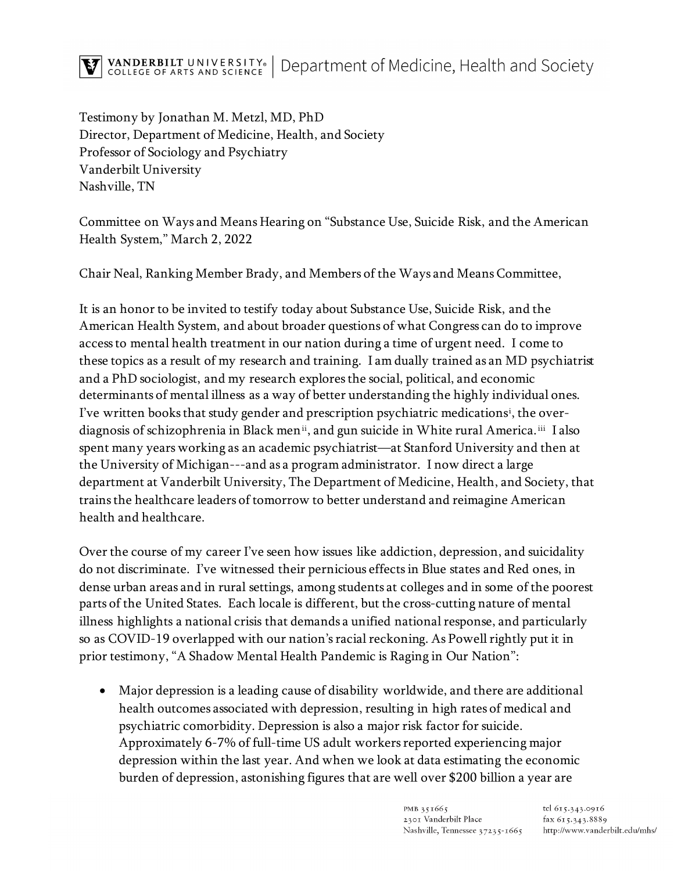Testimony by Jonathan M. Metzl, MD, PhD Director, Department of Medicine, Health, and Society Professor of Sociology and Psychiatry Vanderbilt University Nashville, TN

Committee on Ways and Means Hearing on "Substance Use, Suicide Risk, and the American Health System," March 2, 2022

Chair Neal, Ranking Member Brady, and Members of the Ways and Means Committee,

It is an honor to be invited to testify today about Substance Use, Suicide Risk, and the American Health System, and about broader questions of what Congress can do to improve access to mental health treatment in our nation during a time of urgent need. I come to these topics as a result of my research and training. I am dually trained as an MD psychiatrist and a PhD sociologist, and my research exploresthe social, political, and economic determinants of mental illness as a way of better understanding the highly individual ones. I've written books that study gender and prescription psychiatric medications[i](#page-9-0) , the overdiagnosis of schizophrenia in Black men<sup>[ii](#page-9-1)</sup>, and gun suicide in White rural America.<sup>[iii](#page-9-2)</sup> I also spent many years working as an academic psychiatrist—at Stanford University and then at the University of Michigan---and as a program administrator. I now direct a large department at Vanderbilt University, The Department of Medicine, Health, and Society, that trains the healthcare leaders of tomorrow to better understand and reimagine American health and healthcare.

Over the course of my career I've seen how issues like addiction, depression, and suicidality do not discriminate. I've witnessed their pernicious effects in Blue states and Red ones, in dense urban areas and in rural settings, among students at colleges and in some of the poorest parts of the United States. Each locale is different, but the cross-cutting nature of mental illness highlights a national crisis that demands a unified national response, and particularly so as COVID-19 overlapped with our nation's racial reckoning. As Powell rightly put it in prior testimony, "A Shadow Mental Health Pandemic is Raging in Our Nation":

• Major depression is a leading cause of disability worldwide, and there are additional health outcomes associated with depression, resulting in high rates of medical and psychiatric comorbidity. Depression is also a major risk factor for suicide. Approximately 6-7% of full-time US adult workers reported experiencing major depression within the last year. And when we look at data estimating the economic burden of depression, astonishing figures that are well over \$200 billion a year are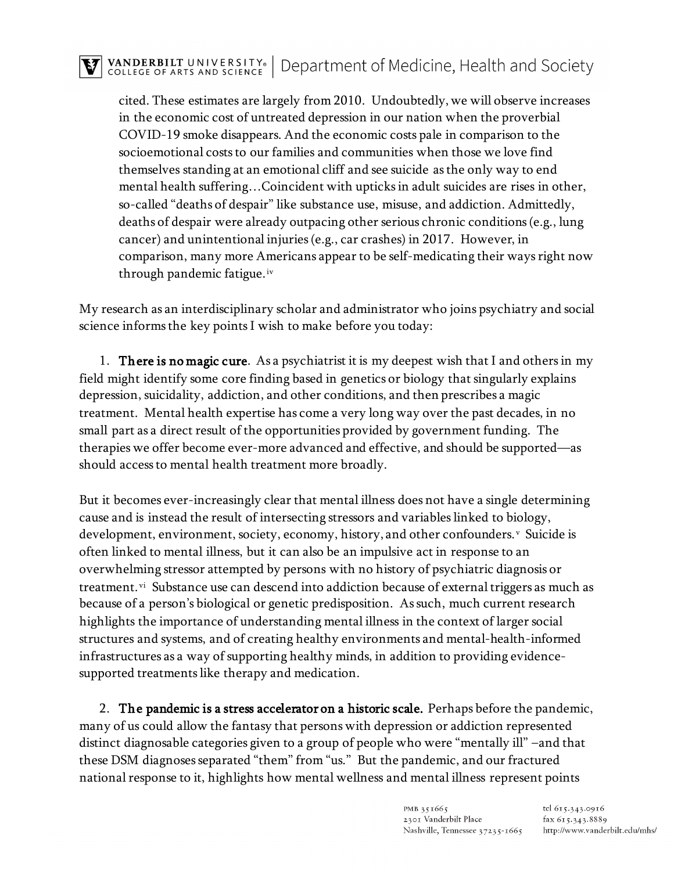cited. These estimates are largely from 2010. Undoubtedly, we will observe increases in the economic cost of untreated depression in our nation when the proverbial COVID-19 smoke disappears. And the economic costs pale in comparison to the socioemotional costs to our families and communities when those we love find themselves standing at an emotional cliff and see suicide as the only way to end mental health suffering…Coincident with upticks in adult suicides are rises in other, so-called "deaths of despair" like substance use, misuse, and addiction. Admittedly, deaths of despair were already outpacing other serious chronic conditions (e.g., lung cancer) and unintentional injuries (e.g., car crashes) in 2017. However, in comparison, many more Americans appear to be self-medicating their ways right now through pandemic fatigue.[iv](#page-9-3)

My research as an interdisciplinary scholar and administrator who joins psychiatry and social science informs the key points I wish to make before you today:

1. **There is no magic cure**. As a psychiatrist it is my deepest wish that I and others in my field might identify some core finding based in genetics or biology that singularly explains depression, suicidality, addiction, and other conditions, and then prescribes a magic treatment. Mental health expertise has come a very long way over the past decades, in no small part as a direct result of the opportunities provided by government funding. The therapies we offer become ever-more advanced and effective, and should be supported—as should access to mental health treatment more broadly.

But it becomes ever-increasingly clear that mental illness does not have a single determining cause and is instead the result of intersecting stressors and variables linked to biology, de[v](#page-9-4)elopment, environment, society, economy, history, and other confounders.<sup>v</sup> Suicide is often linked to mental illness, but it can also be an impulsive act in response to an overwhelming stressor attempted by persons with no history of psychiatric diagnosis or treatment.<sup>vi</sup> Substance use can descend into addiction because of external triggers as much as because of a person's biological or genetic predisposition. As such, much current research highlights the importance of understanding mental illness in the context of larger social structures and systems, and of creating healthy environments and mental-health-informed infrastructures as a way of supporting healthy minds, in addition to providing evidencesupported treatments like therapy and medication.

2. The pandemic is a stress accelerator on a historic scale. Perhaps before the pandemic, many of us could allow the fantasy that persons with depression or addiction represented distinct diagnosable categories given to a group of people who were "mentally ill" –and that these DSM diagnoses separated "them" from "us." But the pandemic, and our fractured national response to it, highlights how mental wellness and mental illness represent points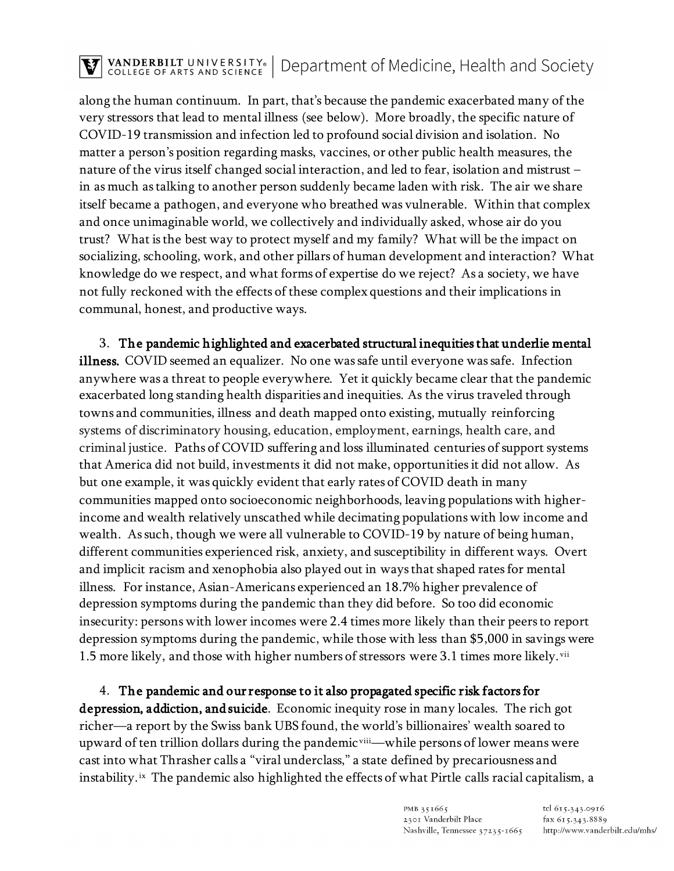## TRANDERBILT UNIVERSITY® | Department of Medicine, Health and Society

along the human continuum. In part, that's because the pandemic exacerbated many of the very stressors that lead to mental illness (see below). More broadly, the specific nature of COVID-19 transmission and infection led to profound social division and isolation. No matter a person's position regarding masks, vaccines, or other public health measures, the nature of the virus itself changed social interaction, and led to fear, isolation and mistrust – in as much as talking to another person suddenly became laden with risk. The air we share itself became a pathogen, and everyone who breathed was vulnerable. Within that complex and once unimaginable world, we collectively and individually asked, whose air do you trust? What is the best way to protect myself and my family? What will be the impact on socializing, schooling, work, and other pillars of human development and interaction? What knowledge do we respect, and what forms of expertise do we reject? As a society, we have not fully reckoned with the effects of these complex questions and their implications in communal, honest, and productive ways.

3. The pandemic highlighted and exacerbated structural inequities that underlie mental illness. COVID seemed an equalizer. No one was safe until everyone was safe. Infection anywhere was a threat to people everywhere. Yet it quickly became clear that the pandemic exacerbated long standing health disparities and inequities. As the virus traveled through towns and communities, illness and death mapped onto existing, mutually reinforcing systems of discriminatory housing, education, employment, earnings, health care, and criminal justice. Paths of COVID suffering and loss illuminated centuries of support systems that America did not build, investments it did not make, opportunities it did not allow. As but one example, it was quickly evident that early rates of COVID death in many communities mapped onto socioeconomic neighborhoods, leaving populations with higherincome and wealth relatively unscathed while decimating populations with low income and wealth. As such, though we were all vulnerable to COVID-19 by nature of being human, different communities experienced risk, anxiety, and susceptibility in different ways. Overt and implicit racism and xenophobia also played out in ways that shaped rates for mental illness. For instance, Asian-Americans experienced an 18.7% higher prevalence of depression symptoms during the pandemic than they did before. So too did economic insecurity: persons with lower incomes were 2.4 times more likely than their peers to report depression symptoms during the pandemic, while those with less than \$5,000 in savings were 1.5 more likely, and those with higher numbers of stressors were 3.1 times more likely. [vii](#page-9-6)

4. The pandemic and our response to it also propagated specific risk factors for depression, addiction, and suicide. Economic inequity rose in many locales. The rich got richer—a report by the Swiss bank UBS found, the world's billionaires' wealth soared to upward of ten trillion dollars during the pandemic vill - while persons of lower means were cast into what Thrasher calls a "viral underclass," a state defined by precariousness and instability.<sup>ix</sup> The pandemic also highlighted the effects of what Pirtle calls racial capitalism, a

> PMB 351665 2301 Vanderbilt Place Nashville, Tennessee 37235-1665

tel 615.343.0916 fax 615.343.8889 http://www.vanderbilt.edu/mhs/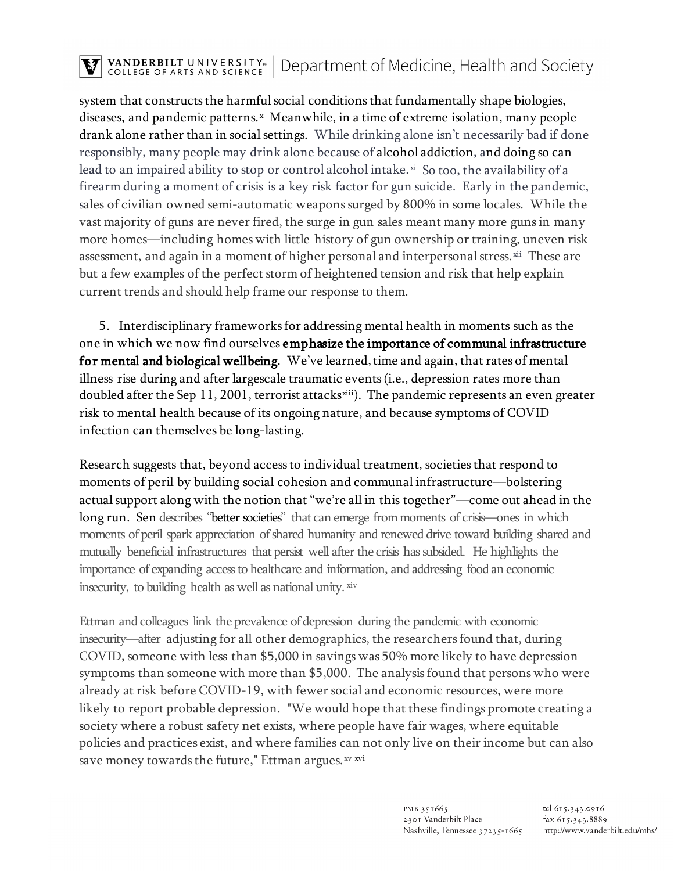## TRANDERBILT UNIVERSITY® | Department of Medicine, Health and Society

system that constructs the harmful social conditions that fundamentally shape biologies, diseases, and pandemic patterns.<sup>x</sup> Meanwhile, in a time of extreme isolation, many people drank alone rather than in social settings. While drinking alone isn't necessarily bad if done responsibly, many people may drink alone because of alcohol addiction, and doing so can lead to an impaired ability to stop or control alcohol intake.<sup>[xi](#page-9-10)</sup> So too, the availability of a firearm during a moment of crisis is a key risk factor for gun suicide. Early in the pandemic, sales of civilian owned semi-automatic weapons surged by 800% in some locales. While the vast majority of guns are never fired, the surge in gun sales meant many more guns in many more homes—including homes with little history of gun ownership or training, uneven risk assessment, and again in a moment of higher personal and interpersonal stress.  $\dot{x}$  These are but a few examples of the perfect storm of heightened tension and risk that help explain current trends and should help frame our response to them.

5. Interdisciplinary frameworks for addressing mental health in moments such as the one in which we now find ourselves emphasize the importance of communal infrastructure for mental and biological wellbeing. We've learned, time and again, that rates of mental illness rise during and after largescale traumatic events(i.e., depression rates more than doubled after the Sep 11, 2001, terrorist attacks<sup>xiii</sup>). The pandemic represents an even greater risk to mental health because of its ongoing nature, and because symptoms of COVID infection can themselves be long-lasting.

Research suggests that, beyond access to individual treatment, societies that respond to moments of peril by building social cohesion and communal infrastructure—bolstering actual support along with the notion that "we're all in this together"—come out ahead in the long run. Sen describes "better societies" that can emerge from moments of crisis—ones in which moments of peril spark appreciation of shared humanity and renewed drive toward building shared and mutually beneficial infrastructures that persist well after the crisis has subsided. He highlights the importance of expanding access to healthcare and information, and addressing food an economic insecurity, to building health as well as national unity. [xiv](#page-9-13)

Ettman and colleagues link the prevalence of depression during the pandemic with economic insecurity—after adjusting for all other demographics, the researchers found that, during COVID, someone with less than \$5,000 in savings was 50% more likely to have depression symptoms than someone with more than \$5,000. The analysis found that persons who were already at risk before COVID-19, with fewer social and economic resources, were more likely to report probable depression. "We would hope that these findings promote creating a society where a robust safety net exists, where people have fair wages, where equitable policies and practices exist, and where families can not only live on their income but can also save money towards the future," Ettman argues. [xv](#page-9-14) [xvi](#page-9-15)

> PMB 351665 2301 Vanderbilt Place Nashville, Tennessee 37235-1665

tel 615.343.0916 fax 615.343.8889 http://www.vanderbilt.edu/mhs/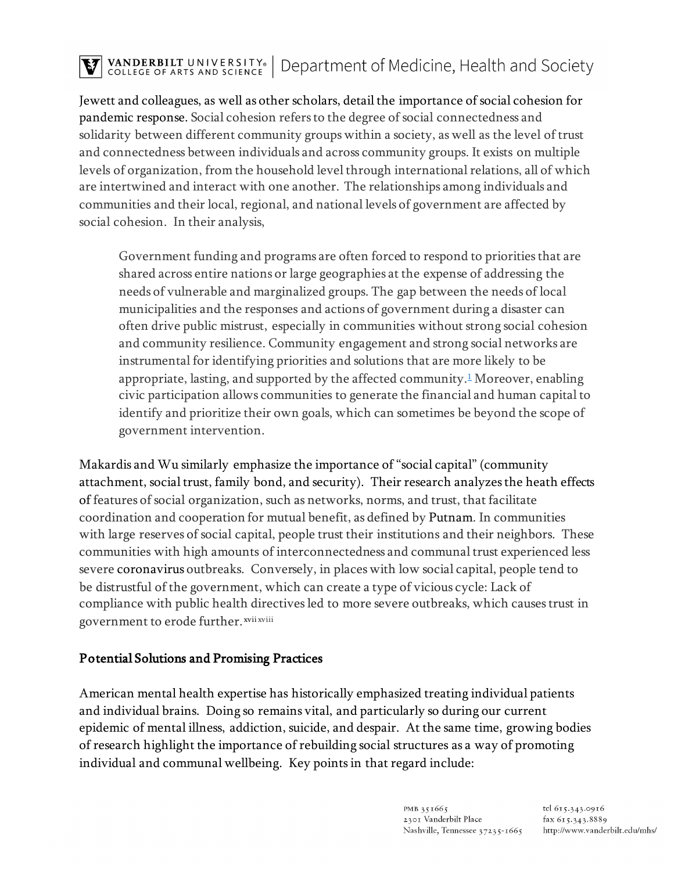# TRANDERBILT UNIVERSITY® | Department of Medicine, Health and Society

Jewett and colleagues, as well as other scholars, detail the importance of social cohesion for pandemic response. Social cohesion refers to the degree of social connectedness and solidarity between different community groups within a society, as well as the level of trust and connectedness between individuals and across community groups. It exists on multiple levels of organization, from the household level through international relations, all of which are intertwined and interact with one another. The relationships among individuals and communities and their local, regional, and national levels of government are affected by social cohesion. In their analysis,

Government funding and programs are often forced to respond to priorities that are shared across entire nations or large geographies at the expense of addressing the needs of vulnerable and marginalized groups. The gap between the needs of local municipalities and the responses and actions of government during a disaster can often drive public mistrust, especially in communities without strong social cohesion and community resilience. Community engagement and strong social networks are instrumental for identifying priorities and solutions that are more likely to be appropriate, lasting, and supported by the affected community.<sup>1</sup> Moreover, enabling civic participation allows communities to generate the financial and human capital to identify and prioritize their own goals, which can sometimes be beyond the scope of government intervention.

Makardis and Wu similarly emphasize the importance of "social capital" (community attachment, social trust, family bond, and security). Their research analyzes the heath effects of features of social organization, such as networks, norms, and trust, that facilitate coordination and cooperation for mutual benefit, as defined by Putnam. In communities with large reserves of social capital, people trust their institutions and their neighbors. These communities with high amounts of interconnectedness and communal trust experienced less severe coronavirus outbreaks. Conversely, in places with low social capital, people tend to be distrustful of the government, which can create a type of vicious cycle: Lack of compliance with public health directives led to more severe outbreaks, which causes trust in government to erode further. [xvii](#page-9-16) xviii

#### Potential Solutions and Promising Practices

American mental health expertise has historically emphasized treating individual patients and individual brains. Doing so remains vital, and particularly so during our current epidemic of mental illness, addiction, suicide, and despair. At the same time, growing bodies of research highlight the importance of rebuilding social structures as a way of promoting individual and communal wellbeing. Key points in that regard include: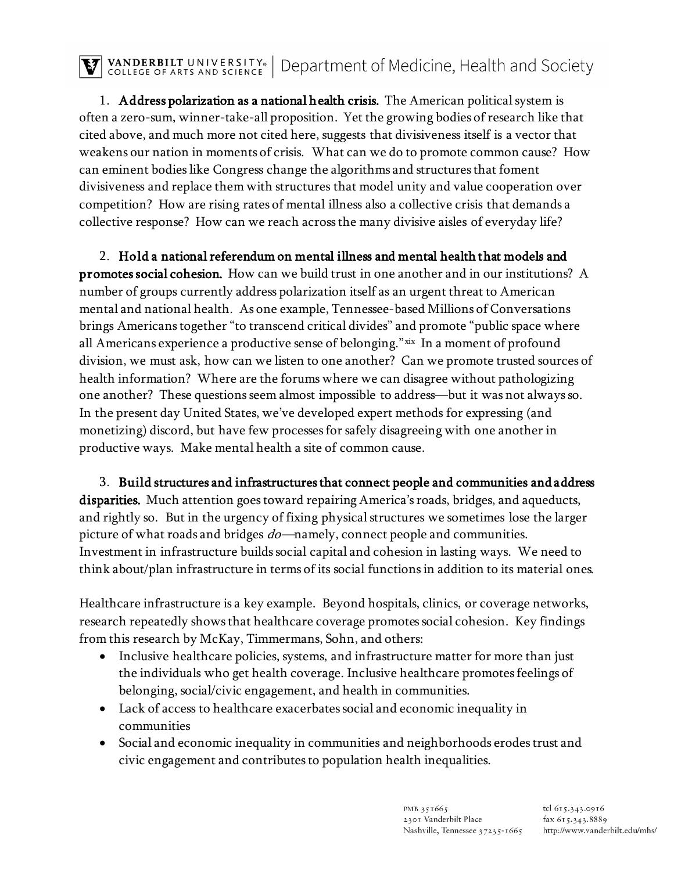$\overline{\mathbf{V}}$  vanderbilt university. Department of Medicine, Health and Society

1. Address polarization as a national health crisis. The American political system is often a zero-sum, winner-take-all proposition. Yet the growing bodies of research like that cited above, and much more not cited here, suggests that divisiveness itself is a vector that weakens our nation in moments of crisis. What can we do to promote common cause? How can eminent bodies like Congress change the algorithms and structures that foment divisiveness and replace them with structures that model unity and value cooperation over competition? How are rising rates of mental illness also a collective crisis that demands a collective response? How can we reach across the many divisive aisles of everyday life?

2. Hold a national referendum on mental illness and mental health that models and promotes social cohesion. How can we build trust in one another and in our institutions? A number of groups currently address polarization itself as an urgent threat to American mental and national health. As one example, Tennessee-based Millions of Conversations brings Americans together "to transcend critical divides" and promote "public space where all Americans experience a productive sense of belonging." [xix](#page-9-17) In a moment of profound division, we must ask, how can we listen to one another? Can we promote trusted sources of health information? Where are the forums where we can disagree without pathologizing one another? These questions seem almost impossible to address—but it was not always so. In the present day United States, we've developed expert methods for expressing (and monetizing) discord, but have few processes for safely disagreeing with one another in productive ways. Make mental health a site of common cause.

3. Build structures and infrastructures that connect people and communities and address disparities. Much attention goes toward repairing America's roads, bridges, and aqueducts, and rightly so. But in the urgency of fixing physical structures we sometimes lose the larger picture of what roads and bridges *do*—namely, connect people and communities. Investment in infrastructure builds social capital and cohesion in lasting ways. We need to think about/plan infrastructure in terms of its social functions in addition to its material ones.

Healthcare infrastructure is a key example. Beyond hospitals, clinics, or coverage networks, research repeatedly shows that healthcare coverage promotes social cohesion. Key findings from this research by McKay, Timmermans, Sohn, and others:

- Inclusive healthcare policies, systems, and infrastructure matter for more than just the individuals who get health coverage. Inclusive healthcare promotes feelings of belonging, social/civic engagement, and health in communities.
- Lack of access to healthcare exacerbates social and economic inequality in communities
- Social and economic inequality in communities and neighborhoods erodes trust and civic engagement and contributes to population health inequalities.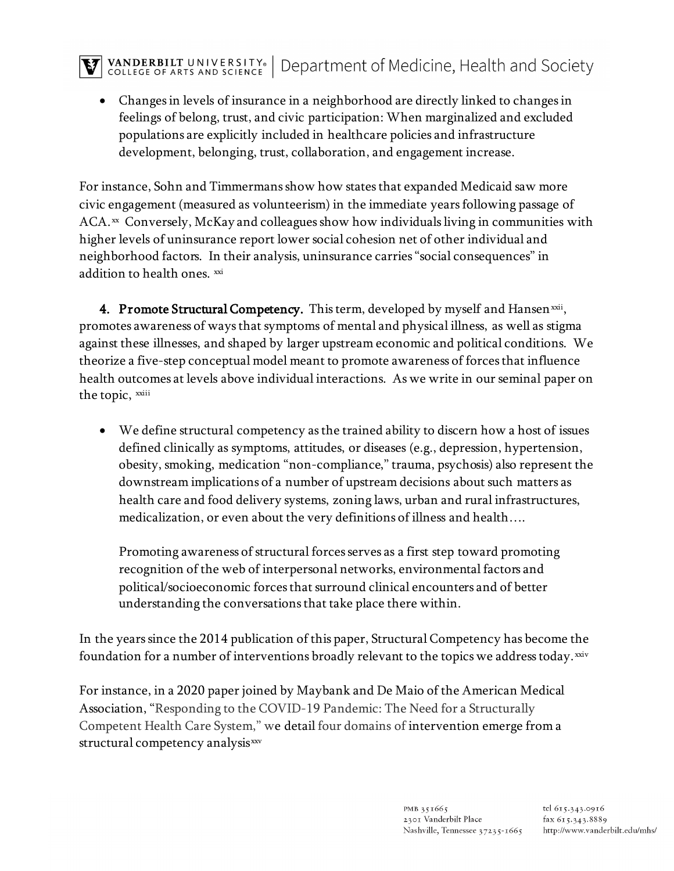### $\overline{\mathbf{V}}$  vanderbilt university. Department of Medicine, Health and Society

• Changes in levels of insurance in a neighborhood are directly linked to changes in feelings of belong, trust, and civic participation: When marginalized and excluded populations are explicitly included in healthcare policies and infrastructure development, belonging, trust, collaboration, and engagement increase.

For instance, Sohn and Timmermans show how states that expanded Medicaid saw more civic engagement (measured as volunteerism) in the immediate years following passage of  $ACA.$ <sup>[xx](#page-9-18)</sup> Conversely, McKay and colleagues show how individuals living in communities with higher levels of uninsurance report lower social cohesion net of other individual and neighborhood factors. In their analysis, uninsurance carries "social consequences" in addition to health ones. [xxi](#page-9-19)

4. Promote Structural Competency. This term, developed by myself and Hansen  $\frac{1}{100}$ , the topic, xxiii promotes awareness of ways that symptoms of mental and physical illness, as well as stigma against these illnesses, and shaped by larger upstream economic and political conditions. We theorize a five-step conceptual model meant to promote awareness of forces that influence health outcomes at levels above individual interactions. As we write in our seminal paper on

• We define structural competency as the trained ability to discern how a host of issues defined clinically as symptoms, attitudes, or diseases (e.g., depression, hypertension, obesity, smoking, medication "non-compliance," trauma, psychosis) also represent the downstream implications of a number of upstream decisions about such matters as health care and food delivery systems, zoning laws, urban and rural infrastructures, medicalization, or even about the very definitions of illness and health….

Promoting awareness of structural forces serves as a first step toward promoting recognition of the web of interpersonal networks, environmental factors and political/socioeconomic forces that surround clinical encounters and of better understanding the conversations that take place there within.

In the years since the 2014 publication of this paper, Structural Competency has become the foundation for a number of interventions broadly relevant to the topics we address today. [xxiv](#page-9-21)

For instance, in a 2020 paper joined by Maybank and De Maio of the American Medical Association, "Responding to the COVID-19 Pandemic: The Need for a Structurally Competent Health Care System," we detail four domains of intervention emerge from a structural competency analysis[xxv](#page-9-22)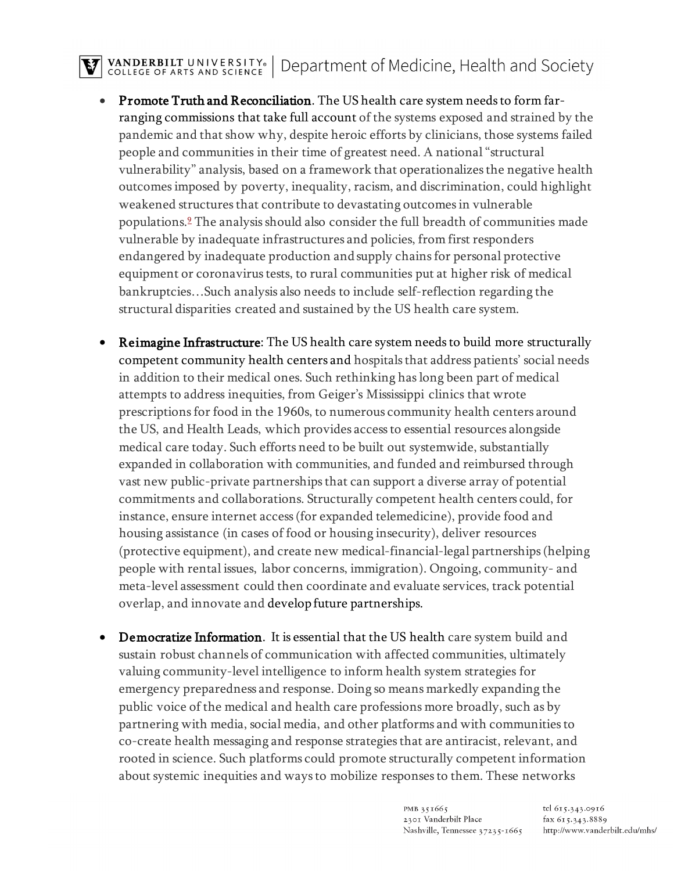### TRANDERBILT UNIVERSITY. Department of Medicine, Health and Society

- Promote Truth and Reconciliation. The US health care system needs to form farranging commissions that take full account of the systems exposed and strained by the pandemic and that show why, despite heroic efforts by clinicians, those systems failed people and communities in their time of greatest need. A national "structural vulnerability" analysis, based on a framework that operationalizes the negative health outcomes imposed by poverty, inequality, racism, and discrimination, could highlight weakened structures that contribute to devastating outcomes in vulnerable population[s.9](https://jamanetwork.com/journals/jama/fullarticle/2767027#jvp200117r9) The analysis should also consider the full breadth of communities made vulnerable by inadequate infrastructures and policies, from first responders endangered by inadequate production and supply chains for personal protective equipment or coronavirus tests, to rural communities put at higher risk of medical bankruptcies…Such analysis also needs to include self-reflection regarding the structural disparities created and sustained by the US health care system.
- Reimagine Infrastructure: The US health care system needs to build more structurally competent community health centers and hospitals that address patients' social needs in addition to their medical ones. Such rethinking has long been part of medical attempts to address inequities, from Geiger's Mississippi clinics that wrote prescriptions for food in the 1960s, to numerous community health centers around the US, and Health Leads, which provides access to essential resources alongside medical care today. Such efforts need to be built out systemwide, substantially expanded in collaboration with communities, and funded and reimbursed through vast new public-private partnerships that can support a diverse array of potential commitments and collaborations. Structurally competent health centers could, for instance, ensure internet access (for expanded telemedicine), provide food and housing assistance (in cases of food or housing insecurity), deliver resources (protective equipment), and create new medical-financial-legal partnerships (helping people with rental issues, labor concerns, immigration). Ongoing, community- and meta-level assessment could then coordinate and evaluate services, track potential overlap, and innovate and develop future partnerships.
- Democratize Information. It is essential that the US health care system build and sustain robust channels of communication with affected communities, ultimately valuing community-level intelligence to inform health system strategies for emergency preparedness and response. Doing so means markedly expanding the public voice of the medical and health care professions more broadly, such as by partnering with media, social media, and other platforms and with communities to co-create health messaging and response strategies that are antiracist, relevant, and rooted in science. Such platforms could promote structurally competent information about systemic inequities and ways to mobilize responses to them. These networks

PMB 351665 2301 Vanderbilt Place Nashville, Tennessee 37235-1665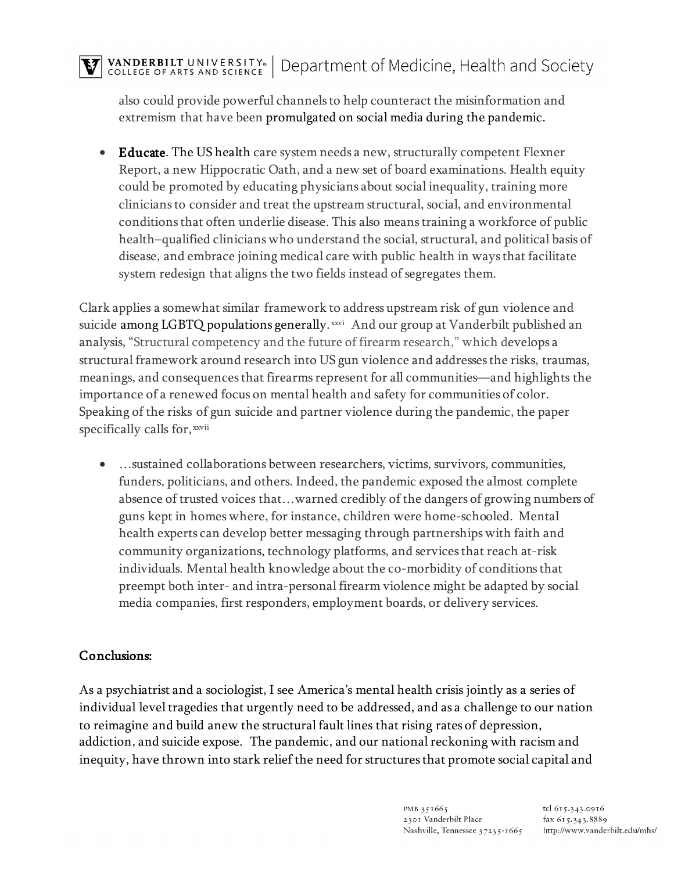also could provide powerful channels to help counteract the misinformation and extremism that have been promulgated on social media during the pandemic.

• Educate. The US health care system needs a new, structurally competent Flexner Report, a new Hippocratic Oath, and a new set of board examinations. Health equity could be promoted by educating physicians about social inequality, training more clinicians to consider and treat the upstream structural, social, and environmental conditions that often underlie disease. This also means training a workforce of public health–qualified clinicians who understand the social, structural, and political basis of disease, and embrace joining medical care with public health in ways that facilitate system redesign that aligns the two fields instead of segregates them.

Clark applies a somewhat similar framework to address upstream risk of gun violence and suicide among LGBTQ populations generally. [xxvi](#page-9-23) And our group at Vanderbilt published an spec[i](#page-9-24)fically calls for, xxvii analysis, "Structural competency and the future of firearm research," which develops a structural framework around research into US gun violence and addresses the risks, traumas, meanings, and consequences that firearms represent for all communities—and highlights the importance of a renewed focus on mental health and safety for communities of color. Speaking of the risks of gun suicide and partner violence during the pandemic, the paper

• …sustained collaborations between researchers, victims, survivors, communities, funders, politicians, and others. Indeed, the pandemic exposed the almost complete absence of trusted voices that…warned credibly of the dangers of growing numbers of guns kept in homes where, for instance, children were home-schooled. Mental health experts can develop better messaging through partnerships with faith and community organizations, technology platforms, and services that reach at-risk individuals. Mental health knowledge about the co-morbidity of conditions that preempt both inter- and intra-personal firearm violence might be adapted by social media companies, first responders, employment boards, or delivery services.

#### Conclusions:

As a psychiatrist and a sociologist, I see America's mental health crisis jointly as a series of individual level tragedies that urgently need to be addressed, and as a challenge to our nation to reimagine and build anew the structural fault lines that rising rates of depression, addiction, and suicide expose. The pandemic, and our national reckoning with racism and inequity, have thrown into stark relief the need for structures that promote social capital and